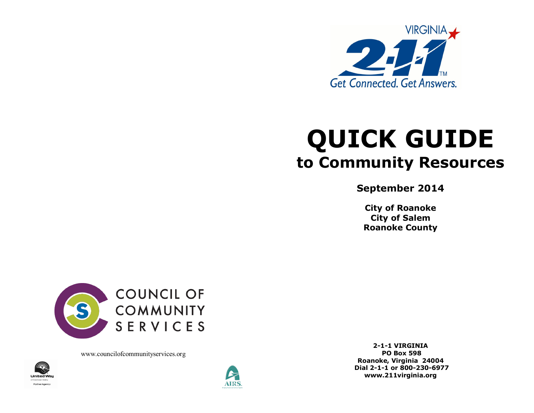

# **QUICK GUIDE to Community Resources**

**September 2014**

**City of Roanoke City of Salem Roanoke County** 



www.councilofcommunityservices.org





**2-1-1 VIRGINIA PO Box 598 Roanoke, Virginia 24004 Dial 2-1-1 or 800-230-6977 www.211virginia.org**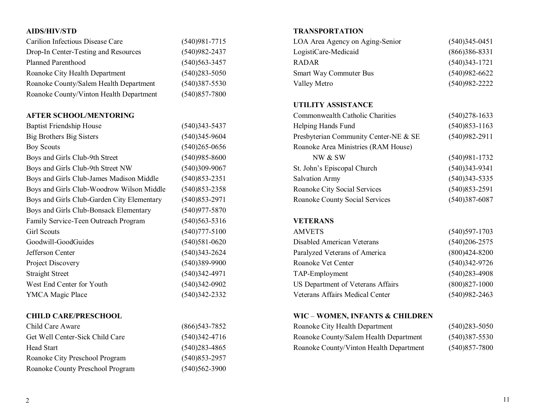# **AIDS/HIV/STD**

| Carilion Infectious Disease Care        | $(540)981 - 7715$ |
|-----------------------------------------|-------------------|
| Drop-In Center-Testing and Resources    | $(540)982 - 2437$ |
| <b>Planned Parenthood</b>               | $(540)563 - 3457$ |
| Roanoke City Health Department          | $(540)283 - 5050$ |
| Roanoke County/Salem Health Department  | $(540)387 - 5530$ |
| Roanoke County/Vinton Health Department | $(540)857 - 7800$ |

#### **AFTER SCHOOL/MENTORING**

| <b>Baptist Friendship House</b>            | $(540)343 - 5437$ |
|--------------------------------------------|-------------------|
| Big Brothers Big Sisters                   | $(540)345 - 9604$ |
| <b>Boy Scouts</b>                          | $(540)265 - 0656$ |
| Boys and Girls Club-9th Street             | $(540)985 - 8600$ |
| Boys and Girls Club-9th Street NW          | $(540)309-9067$   |
| Boys and Girls Club-James Madison Middle   | $(540)853 - 2351$ |
| Boys and Girls Club-Woodrow Wilson Middle  | $(540)853 - 2358$ |
| Boys and Girls Club-Garden City Elementary | $(540)853 - 2971$ |
| Boys and Girls Club-Bonsack Elementary     | $(540)977 - 5870$ |
| Family Service-Teen Outreach Program       | $(540)563 - 5316$ |
| <b>Girl Scouts</b>                         | $(540)777 - 5100$ |
| Goodwill-GoodGuides                        | $(540)581 - 0620$ |
| Jefferson Center                           | $(540)343 - 2624$ |
| Project Discovery                          | $(540)389-9900$   |
| <b>Straight Street</b>                     | $(540)342 - 4971$ |
| West End Center for Youth                  | $(540)342-0902$   |
| YMCA Magic Place                           | (540)342-2332     |
|                                            |                   |

#### **CHILD CARE/PRESCHOOL**

| Child Care Aware                 | $(866)$ 543-7852  |
|----------------------------------|-------------------|
| Get Well Center-Sick Child Care  | $(540)342 - 4716$ |
| Head Start                       | $(540)283 - 4865$ |
| Roanoke City Preschool Program   | $(540)853 - 2957$ |
| Roanoke County Preschool Program | $(540)562 - 3900$ |

# **TRANSPORTATION**

| $(540)345 - 0451$ |
|-------------------|
| $(866)386 - 8331$ |
| $(540)343 - 1721$ |
| $(540)982 - 6622$ |
| $(540)982 - 2222$ |
|                   |

### **UTILITY ASSISTANCE**

| Commonwealth Catholic Charities       | $(540)278-1633$   |
|---------------------------------------|-------------------|
| Helping Hands Fund                    | $(540)853 - 1163$ |
| Presbyterian Community Center-NE & SE | $(540)982 - 2911$ |
| Roanoke Area Ministries (RAM House)   |                   |
| NW & SW                               | $(540)981 - 1732$ |
| St. John's Episcopal Church           | $(540)343 - 9341$ |
| <b>Salvation Army</b>                 | $(540)343 - 5335$ |
| Roanoke City Social Services          | $(540)853 - 2591$ |
| <b>Roanoke County Social Services</b> | $(540)387 - 6087$ |
|                                       |                   |

# **VETERANS**

| $(540)597 - 1703$ |
|-------------------|
| $(540)206 - 2575$ |
| $(800)424 - 8200$ |
| $(540)342-9726$   |
| $(540)283 - 4908$ |
| $(800)827 - 1000$ |
| $(540)982 - 2463$ |
|                   |

#### **WIC** – **WOMEN, INFANTS & CHILDREN**

| Roanoke City Health Department          | $(540)283 - 5050$ |
|-----------------------------------------|-------------------|
| Roanoke County/Salem Health Department  | $(540)387 - 5530$ |
| Roanoke County/Vinton Health Department | $(540)857 - 7800$ |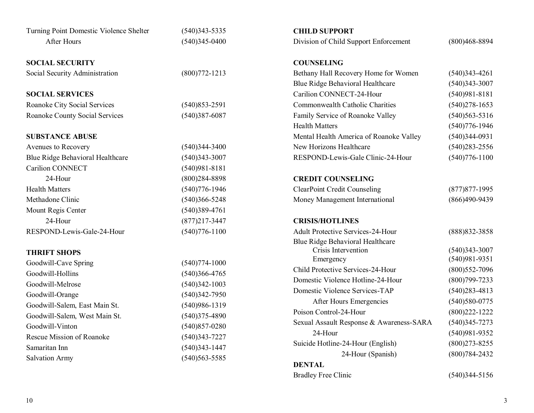| Turning Point Domestic Violence Shelter | $(540)343 - 5335$ | <b>CHILD SUPPORT</b>                                    |                   |
|-----------------------------------------|-------------------|---------------------------------------------------------|-------------------|
| After Hours                             | $(540)345 - 0400$ | Division of Child Support Enforcement                   | $(800)468 - 8894$ |
| <b>SOCIAL SECURITY</b>                  |                   | <b>COUNSELING</b>                                       |                   |
| Social Security Administration          | $(800)772 - 1213$ | Bethany Hall Recovery Home for Women                    | $(540)343 - 4261$ |
|                                         |                   | Blue Ridge Behavioral Healthcare                        | $(540)343 - 3007$ |
| <b>SOCIAL SERVICES</b>                  |                   | Carilion CONNECT-24-Hour                                | $(540)981 - 8181$ |
| Roanoke City Social Services            | $(540)853 - 2591$ | Commonwealth Catholic Charities                         | $(540)278-1653$   |
| <b>Roanoke County Social Services</b>   | $(540)387 - 6087$ | Family Service of Roanoke Valley                        | $(540)563 - 5316$ |
|                                         |                   | <b>Health Matters</b>                                   | $(540)776 - 1946$ |
| <b>SUBSTANCE ABUSE</b>                  |                   | Mental Health America of Roanoke Valley                 | $(540)344-0931$   |
| Avenues to Recovery                     | $(540)344 - 3400$ | New Horizons Healthcare                                 | $(540)283 - 2556$ |
| Blue Ridge Behavioral Healthcare        | $(540)343 - 3007$ | RESPOND-Lewis-Gale Clinic-24-Hour                       | $(540)776 - 1100$ |
| Carilion CONNECT                        | $(540)981 - 8181$ |                                                         |                   |
| 24-Hour                                 | $(800)284 - 8898$ | <b>CREDIT COUNSELING</b>                                |                   |
| <b>Health Matters</b>                   | $(540)776 - 1946$ | <b>ClearPoint Credit Counseling</b>                     | $(877)877 - 1995$ |
| Methadone Clinic                        | $(540)366 - 5248$ | Money Management International                          | $(866)490-9439$   |
| Mount Regis Center                      | $(540)389-4761$   |                                                         |                   |
| 24-Hour                                 | $(877)217 - 3447$ | <b>CRISIS/HOTLINES</b>                                  |                   |
| RESPOND-Lewis-Gale-24-Hour              | $(540)776 - 1100$ | <b>Adult Protective Services-24-Hour</b>                | (888) 832-3858    |
| <b>THRIFT SHOPS</b>                     |                   | Blue Ridge Behavioral Healthcare<br>Crisis Intervention | $(540)343 - 3007$ |
| Goodwill-Cave Spring                    | $(540)774 - 1000$ | Emergency                                               | $(540)981-9351$   |
| Goodwill-Hollins                        | $(540)366 - 4765$ | Child Protective Services-24-Hour                       | $(800)$ 552-7096  |
| Goodwill-Melrose                        | $(540)342 - 1003$ | Domestic Violence Hotline-24-Hour                       | $(800)799 - 7233$ |
| Goodwill-Orange                         | $(540)342 - 7950$ | Domestic Violence Services-TAP                          | $(540)283 - 4813$ |
| Goodwill-Salem, East Main St.           | $(540)986 - 1319$ | After Hours Emergencies                                 | $(540)580-0775$   |
| Goodwill-Salem, West Main St.           | $(540)375 - 4890$ | Poison Control-24-Hour                                  | $(800)222 - 1222$ |
| Goodwill-Vinton                         | $(540)857 - 0280$ | Sexual Assault Response & Awareness-SARA                | $(540)345 - 7273$ |
| <b>Rescue Mission of Roanoke</b>        | $(540)343 - 7227$ | 24-Hour                                                 | $(540)981-9352$   |
| Samaritan Inn                           | $(540)343 - 1447$ | Suicide Hotline-24-Hour (English)                       | $(800)273 - 8255$ |
| <b>Salvation Army</b>                   | $(540)563 - 5585$ | 24-Hour (Spanish)                                       | $(800)784 - 2432$ |
|                                         |                   | <b>DENTAL</b>                                           |                   |
|                                         |                   | <b>Bradley Free Clinic</b>                              | $(540)344 - 5156$ |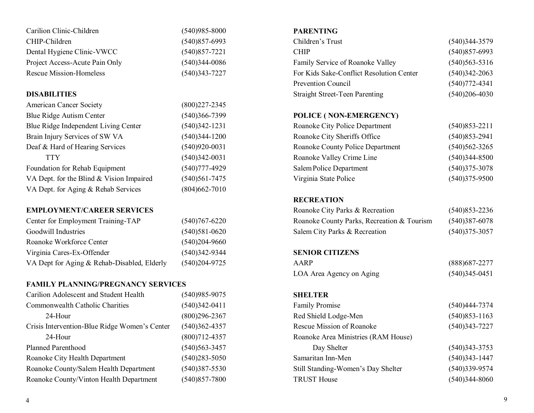| Carilion Clinic-Children       | $(540)985 - 8000$ |
|--------------------------------|-------------------|
| CHIP-Children                  | $(540)857-6993$   |
| Dental Hygiene Clinic-VWCC     | $(540)857 - 7221$ |
| Project Access-Acute Pain Only | $(540)344 - 0086$ |
| Rescue Mission-Homeless        | $(540)343 - 7227$ |

#### **DISABILITIES**

| <b>American Cancer Society</b>           | $(800)227 - 2345$ |
|------------------------------------------|-------------------|
| <b>Blue Ridge Autism Center</b>          | $(540)366 - 7399$ |
| Blue Ridge Independent Living Center     | $(540)342 - 1231$ |
| Brain Injury Services of SW VA           | $(540)344 - 1200$ |
| Deaf & Hard of Hearing Services          | $(540)920 - 0031$ |
| <b>TTY</b>                               | $(540)342 - 0031$ |
| Foundation for Rehab Equipment           | $(540)777 - 4929$ |
| VA Dept. for the Blind & Vision Impaired | $(540)561 - 7475$ |
| VA Dept. for Aging & Rehab Services      | $(804)662 - 7010$ |
|                                          |                   |

# **EMPLOYMENT/CAREER SERVICES**

| Center for Employment Training-TAP          | $(540)767 - 6220$ |
|---------------------------------------------|-------------------|
| Goodwill Industries                         | $(540)581 - 0620$ |
| Roanoke Workforce Center                    | $(540)204 - 9660$ |
| Virginia Cares-Ex-Offender                  | $(540)342 - 9344$ |
| VA Dept for Aging & Rehab-Disabled, Elderly | $(540)204 - 9725$ |

### **FAMILY PLANNING/PREGNANCY SERVICES**

| Carilion Adolescent and Student Health        | $(540)985 - 9075$ |
|-----------------------------------------------|-------------------|
| Commonwealth Catholic Charities               | $(540)342 - 0411$ |
| 24-Hour                                       | $(800)296 - 2367$ |
| Crisis Intervention-Blue Ridge Women's Center | $(540)362 - 4357$ |
| 24-Hour                                       | $(800)712 - 4357$ |
| <b>Planned Parenthood</b>                     | $(540)563 - 3457$ |
| Roanoke City Health Department                | $(540)283 - 5050$ |
| Roanoke County/Salem Health Department        | $(540)387 - 5530$ |
| Roanoke County/Vinton Health Department       | $(540)857 - 7800$ |

#### **PARENTING**

| Children's Trust                         | $(540)344 - 3579$ |
|------------------------------------------|-------------------|
| <b>CHIP</b>                              | $(540)857 - 6993$ |
| Family Service of Roanoke Valley         | $(540)563 - 5316$ |
| For Kids Sake-Conflict Resolution Center | $(540)342 - 2063$ |
| <b>Prevention Council</b>                | $(540)772 - 4341$ |
| <b>Straight Street-Teen Parenting</b>    | $(540)206 - 4030$ |

# **POLICE ( NON-EMERGENCY)**

| Roanoke City Police Department   | $(540)853 - 2211$ |
|----------------------------------|-------------------|
| Roanoke City Sheriffs Office     | $(540)853 - 2941$ |
| Roanoke County Police Department | $(540)562 - 3265$ |
| Roanoke Valley Crime Line        | $(540)344 - 8500$ |
| Salem Police Department          | $(540)375 - 3078$ |
| Virginia State Police            | $(540)375 - 9500$ |

#### **RECREATION**

| Roanoke City Parks & Recreation            | $(540)853 - 2236$ |
|--------------------------------------------|-------------------|
| Roanoke County Parks, Recreation & Tourism | $(540)387 - 6078$ |
| Salem City Parks & Recreation              | $(540)375 - 3057$ |

#### **SENIOR CITIZENS**

| AARP                     | (888) 687 - 2277  |
|--------------------------|-------------------|
| LOA Area Agency on Aging | $(540)345 - 0451$ |

# **SHELTER**

| <b>Family Promise</b>               | $(540)444 - 7374$ |
|-------------------------------------|-------------------|
| Red Shield Lodge-Men                | $(540)853 - 1163$ |
| <b>Rescue Mission of Roanoke</b>    | $(540)343 - 7227$ |
| Roanoke Area Ministries (RAM House) |                   |
| Day Shelter                         | $(540)343 - 3753$ |
| Samaritan Inn-Men                   | $(540)343 - 1447$ |
| Still Standing-Women's Day Shelter  | $(540)339-9574$   |
| <b>TRUST House</b>                  | $(540)344 - 8060$ |
|                                     |                   |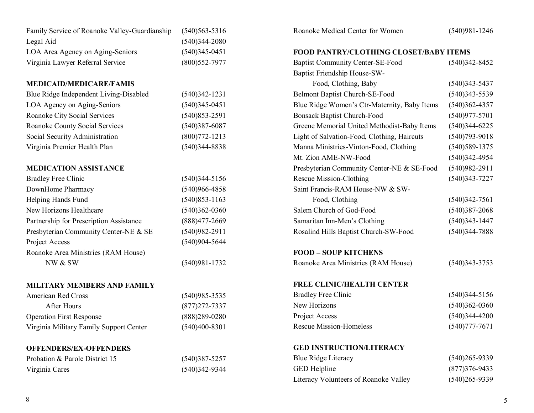| Family Service of Roanoke Valley-Guardianship | $(540)563 - 5316$ | Roanoke Medical Center for Women             | $(540)981 - 1246$ |
|-----------------------------------------------|-------------------|----------------------------------------------|-------------------|
| Legal Aid                                     | $(540)344 - 2080$ |                                              |                   |
| LOA Area Agency on Aging-Seniors              | $(540)345 - 0451$ | FOOD PANTRY/CLOTHING CLOSET/BABY ITEMS       |                   |
| Virginia Lawyer Referral Service              | $(800)$ 552-7977  | <b>Baptist Community Center-SE-Food</b>      | $(540)342 - 8452$ |
|                                               |                   | Baptist Friendship House-SW-                 |                   |
| <b>MEDICAID/MEDICARE/FAMIS</b>                |                   | Food, Clothing, Baby                         | $(540)343 - 5437$ |
| Blue Ridge Independent Living-Disabled        | $(540)342 - 1231$ | Belmont Baptist Church-SE-Food               | $(540)343 - 5539$ |
| LOA Agency on Aging-Seniors                   | $(540)345 - 0451$ | Blue Ridge Women's Ctr-Maternity, Baby Items | $(540)362 - 4357$ |
| <b>Roanoke City Social Services</b>           | $(540)853 - 2591$ | <b>Bonsack Baptist Church-Food</b>           | $(540)977 - 5701$ |
| <b>Roanoke County Social Services</b>         | $(540)387 - 6087$ | Greene Memorial United Methodist-Baby Items  | $(540)344-6225$   |
| Social Security Administration                | $(800)772 - 1213$ | Light of Salvation-Food, Clothing, Haircuts  | $(540)793 - 9018$ |
| Virginia Premier Health Plan                  | $(540)344 - 8838$ | Manna Ministries-Vinton-Food, Clothing       | $(540)589-1375$   |
|                                               |                   | Mt. Zion AME-NW-Food                         | $(540)342 - 4954$ |
| <b>MEDICATION ASSISTANCE</b>                  |                   | Presbyterian Community Center-NE & SE-Food   | $(540)982 - 2911$ |
| <b>Bradley Free Clinic</b>                    | $(540)344 - 5156$ | <b>Rescue Mission-Clothing</b>               | $(540)343 - 7227$ |
| DownHome Pharmacy                             | $(540)966 - 4858$ | Saint Francis-RAM House-NW & SW-             |                   |
| Helping Hands Fund                            | $(540)853 - 1163$ | Food, Clothing                               | $(540)342 - 7561$ |
| New Horizons Healthcare                       | $(540)362 - 0360$ | Salem Church of God-Food                     | $(540)387 - 2068$ |
| Partnership for Prescription Assistance       | $(888)477 - 2669$ | Samaritan Inn-Men's Clothing                 | $(540)343 - 1447$ |
| Presbyterian Community Center-NE & SE         | $(540)982 - 2911$ | Rosalind Hills Baptist Church-SW-Food        | $(540)344 - 7888$ |
| Project Access                                | $(540)904 - 5644$ |                                              |                   |
| Roanoke Area Ministries (RAM House)           |                   | <b>FOOD - SOUP KITCHENS</b>                  |                   |
| NW & SW                                       | $(540)981 - 1732$ | Roanoke Area Ministries (RAM House)          | $(540)343 - 3753$ |
| MILITARY MEMBERS AND FAMILY                   |                   | <b>FREE CLINIC/HEALTH CENTER</b>             |                   |
| <b>American Red Cross</b>                     | $(540)985 - 3535$ | <b>Bradley Free Clinic</b>                   | $(540)344 - 5156$ |
| <b>After Hours</b>                            | $(877)272 - 7337$ | New Horizons                                 | $(540)362 - 0360$ |
| <b>Operation First Response</b>               | $(888)289 - 0280$ | Project Access                               | $(540)344 - 4200$ |
| Virginia Military Family Support Center       | $(540)400 - 8301$ | <b>Rescue Mission-Homeless</b>               | $(540)777 - 7671$ |
| <b>OFFENDERS/EX-OFFENDERS</b>                 |                   | <b>GED INSTRUCTION/LITERACY</b>              |                   |
| Probation & Parole District 15                | $(540)387 - 5257$ | <b>Blue Ridge Literacy</b>                   | $(540)265 - 9339$ |
| Virginia Cares                                | $(540)342-9344$   | <b>GED</b> Helpline                          | $(877)376 - 9433$ |
|                                               |                   | Literacy Volunteers of Roanoke Valley        | $(540)265 - 9339$ |